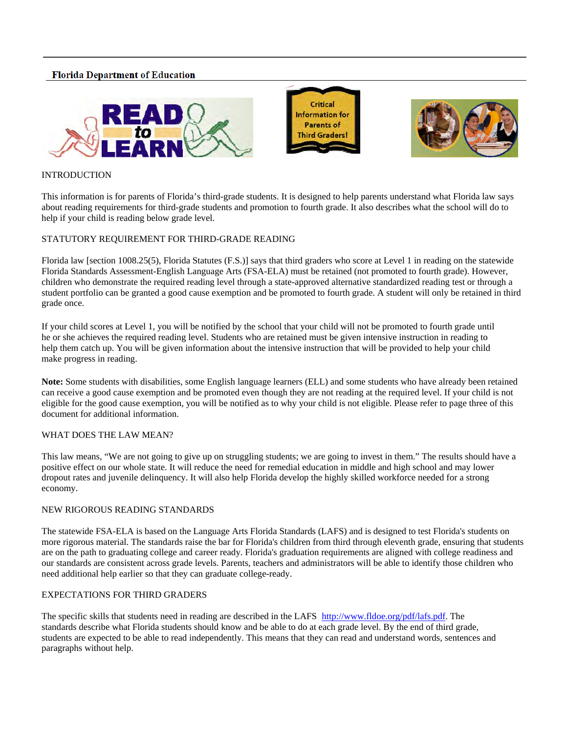# **Florida Department of Education**







# **INTRODUCTION**

This information is for parents of Florida's third-grade students. It is designed to help parents understand what Florida law says about reading requirements for third-grade students and promotion to fourth grade. It also describes what the school will do to help if your child is reading below grade level.

## STATUTORY REQUIREMENT FOR THIRD-GRADE READING

 Florida law [section 1008.25(5), Florida Statutes (F.S.)] says that third graders who score at Level 1 in reading on the statewide Florida Standards Assessment-English Language Arts (FSA-ELA) must be retained (not promoted to fourth grade). However, children who demonstrate the required reading level through a state-approved alternative standardized reading test or through a student portfolio can be granted a good cause exemption and be promoted to fourth grade. A student will only be retained in third grade once.

 If your child scores at Level 1, you will be notified by the school that your child will not be promoted to fourth grade until he or she achieves the required reading level. Students who are retained must be given intensive instruction in reading to help them catch up. You will be given information about the intensive instruction that will be provided to help your child make progress in reading.

 eligible for the good cause exemption, you will be notified as to why your child is not eligible. Please refer to page three of this **Note:** Some students with disabilities, some English language learners (ELL) and some students who have already been retained can receive a good cause exemption and be promoted even though they are not reading at the required level. If your child is not document for additional information.

### WHAT DOES THE LAW MEAN?

 This law means, "We are not going to give up on struggling students; we are going to invest in them." The results should have a positive effect on our whole state. It will reduce the need for remedial education in middle and high school and may lower dropout rates and juvenile delinquency. It will also help Florida develop the highly skilled workforce needed for a strong economy.

## NEW RIGOROUS READING STANDARDS

 are on the path to graduating college and career ready. Florida's graduation requirements are aligned with college readiness and The statewide FSA-ELA is based on the Language Arts Florida Standards (LAFS) and is designed to test Florida's students on more rigorous material. The standards raise the bar for Florida's children from third through eleventh grade, ensuring that students our standards are consistent across grade levels. Parents, teachers and administrators will be able to identify those children who need additional help earlier so that they can graduate college-ready.

# EXPECTATIONS FOR THIRD GRADERS

 standards describe what Florida students should know and be able to do at each grade level. By the end of third grade, paragraphs without help. The specific skills that students need in reading are described in the LAFS http://www.fldoe.org/pdf/lafs.pdf. The students are expected to be able to read independently. This means that they can read and understand words, sentences and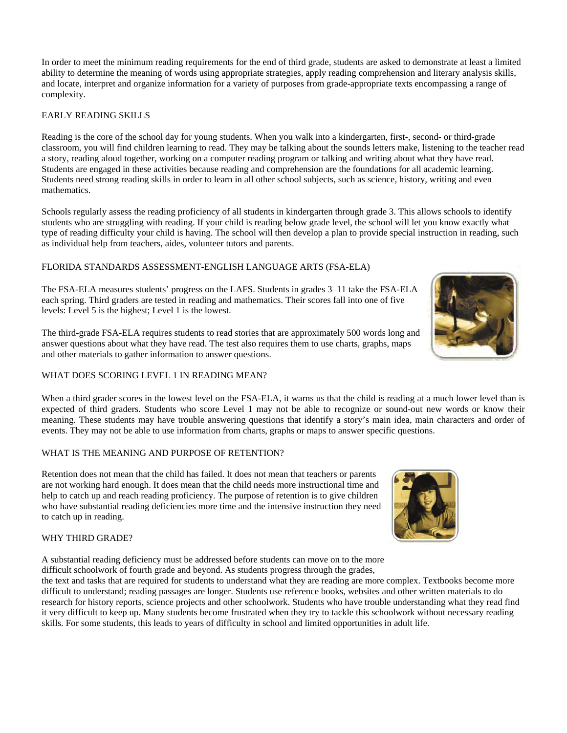In order to meet the minimum reading requirements for the end of third grade, students are asked to demonstrate at least a limited ability to determine the meaning of words using appropriate strategies, apply reading comprehension and literary analysis skills, and locate, interpret and organize information for a variety of purposes from grade-appropriate texts encompassing a range of complexity.

## EARLY READING SKILLS

 a story, reading aloud together, working on a computer reading program or talking and writing about what they have read. Students need strong reading skills in order to learn in all other school subjects, such as science, history, writing and even Reading is the core of the school day for young students. When you walk into a kindergarten, first-, second- or third-grade classroom, you will find children learning to read. They may be talking about the sounds letters make, listening to the teacher read Students are engaged in these activities because reading and comprehension are the foundations for all academic learning. mathematics.

Schools regularly assess the reading proficiency of all students in kindergarten through grade 3. This allows schools to identify students who are struggling with reading. If your child is reading below grade level, the school will let you know exactly what type of reading difficulty your child is having. The school will then develop a plan to provide special instruction in reading, such as individual help from teachers, aides, volunteer tutors and parents.

## FLORIDA STANDARDS ASSESSMENT-ENGLISH LANGUAGE ARTS (FSA-ELA)

The FSA-ELA measures students' progress on the LAFS. Students in grades 3–11 take the FSA-ELA each spring. Third graders are tested in reading and mathematics. Their scores fall into one of five levels: Level 5 is the highest; Level 1 is the lowest.

The third-grade FSA-ELA requires students to read stories that are approximately 500 words long and answer questions about what they have read. The test also requires them to use charts, graphs, maps and other materials to gather information to answer questions.

### WHAT DOES SCORING LEVEL 1 IN READING MEAN?

When a third grader scores in the lowest level on the FSA-ELA, it warns us that the child is reading at a much lower level than is expected of third graders. Students who score Level 1 may not be able to recognize or sound-out new words or know their meaning. These students may have trouble answering questions that identify a story's main idea, main characters and order of events. They may not be able to use information from charts, graphs or maps to answer specific questions.

## WHAT IS THE MEANING AND PURPOSE OF RETENTION?

 Retention does not mean that the child has failed. It does not mean that teachers or parents are not working hard enough. It does mean that the child needs more instructional time and help to catch up and reach reading proficiency. The purpose of retention is to give children who have substantial reading deficiencies more time and the intensive instruction they need to catch up in reading.

#### WHY THIRD GRADE?

 difficult schoolwork of fourth grade and beyond. As students progress through the grades, A substantial reading deficiency must be addressed before students can move on to the more

 research for history reports, science projects and other schoolwork. Students who have trouble understanding what they read find the text and tasks that are required for students to understand what they are reading are more complex. Textbooks become more difficult to understand; reading passages are longer. Students use reference books, websites and other written materials to do it very difficult to keep up. Many students become frustrated when they try to tackle this schoolwork without necessary reading skills. For some students, this leads to years of difficulty in school and limited opportunities in adult life.



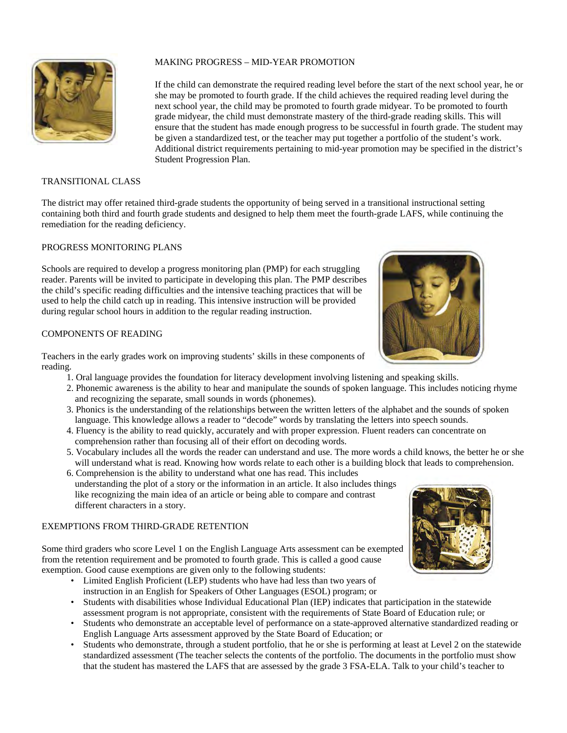

## MAKING PROGRESS – MID-YEAR PROMOTION

 If the child can demonstrate the required reading level before the start of the next school year, he or next school year, the child may be promoted to fourth grade midyear. To be promoted to fourth ensure that the student has made enough progress to be successful in fourth grade. The student may she may be promoted to fourth grade. If the child achieves the required reading level during the grade midyear, the child must demonstrate mastery of the third-grade reading skills. This will be given a standardized test, or the teacher may put together a portfolio of the student's work. Additional district requirements pertaining to mid-year promotion may be specified in the district's Student Progression Plan.

#### TRANSITIONAL CLASS

The district may offer retained third-grade students the opportunity of being served in a transitional instructional setting containing both third and fourth grade students and designed to help them meet the fourth-grade LAFS, while continuing the remediation for the reading deficiency.

#### PROGRESS MONITORING PLANS

 during regular school hours in addition to the regular reading instruction. Schools are required to develop a progress monitoring plan (PMP) for each struggling reader. Parents will be invited to participate in developing this plan. The PMP describes the child's specific reading difficulties and the intensive teaching practices that will be used to help the child catch up in reading. This intensive instruction will be provided

#### COMPONENTS OF READING

Teachers in the early grades work on improving students' skills in these components of reading.

- 1. Oral language provides the foundation for literacy development involving listening and speaking skills.
- 2. Phonemic awareness is the ability to hear and manipulate the sounds of spoken language. This includes noticing rhyme and recognizing the separate, small sounds in words (phonemes).
- 3. Phonics is the understanding of the relationships between the written letters of the alphabet and the sounds of spoken language. This knowledge allows a reader to "decode" words by translating the letters into speech sounds.
- 4. Fluency is the ability to read quickly, accurately and with proper expression. Fluent readers can concentrate on comprehension rather than focusing all of their effort on decoding words. comprehension rather than focusing all of their effort on decoding words.
- 5. Vocabulary includes all the words the reader can understand and use. The more words a child knows, the better he or she will understand what is read. Knowing how words relate to each other is a building block that leads to comprehension.
- 6. Comprehension is the ability to understand what one has read. This includes understanding the plot of a story or the information in an article. It also includes things like recognizing the main idea of an article or being able to compare and contrast different characters in a story.

#### EXEMPTIONS FROM THIRD-GRADE RETENTION

 Some third graders who score Level 1 on the English Language Arts assessment can be exempted from the retention requirement and be promoted to fourth grade. This is called a good cause exemption. Good cause exemptions are given only to the following students:

- instruction in an English for Speakers of Other Languages (ESOL) program; or • Limited English Proficient (LEP) students who have had less than two years of
- assessment program is not appropriate, consistent with the requirements of State Board of Education rule; or • Students with disabilities whose Individual Educational Plan (IEP) indicates that participation in the statewide
- English Language Arts assessment approved by the State Board of Education; or • Students who demonstrate an acceptable level of performance on a state-approved alternative standardized reading or
- Students who demonstrate, through a student portfolio, that he or she is performing at least at Level 2 on the statewide standardized assessment (The teacher selects the contents of the portfolio. The documents in the portfolio must show that the student has mastered the LAFS that are assessed by the grade 3 FSA-ELA. Talk to your child's teacher to